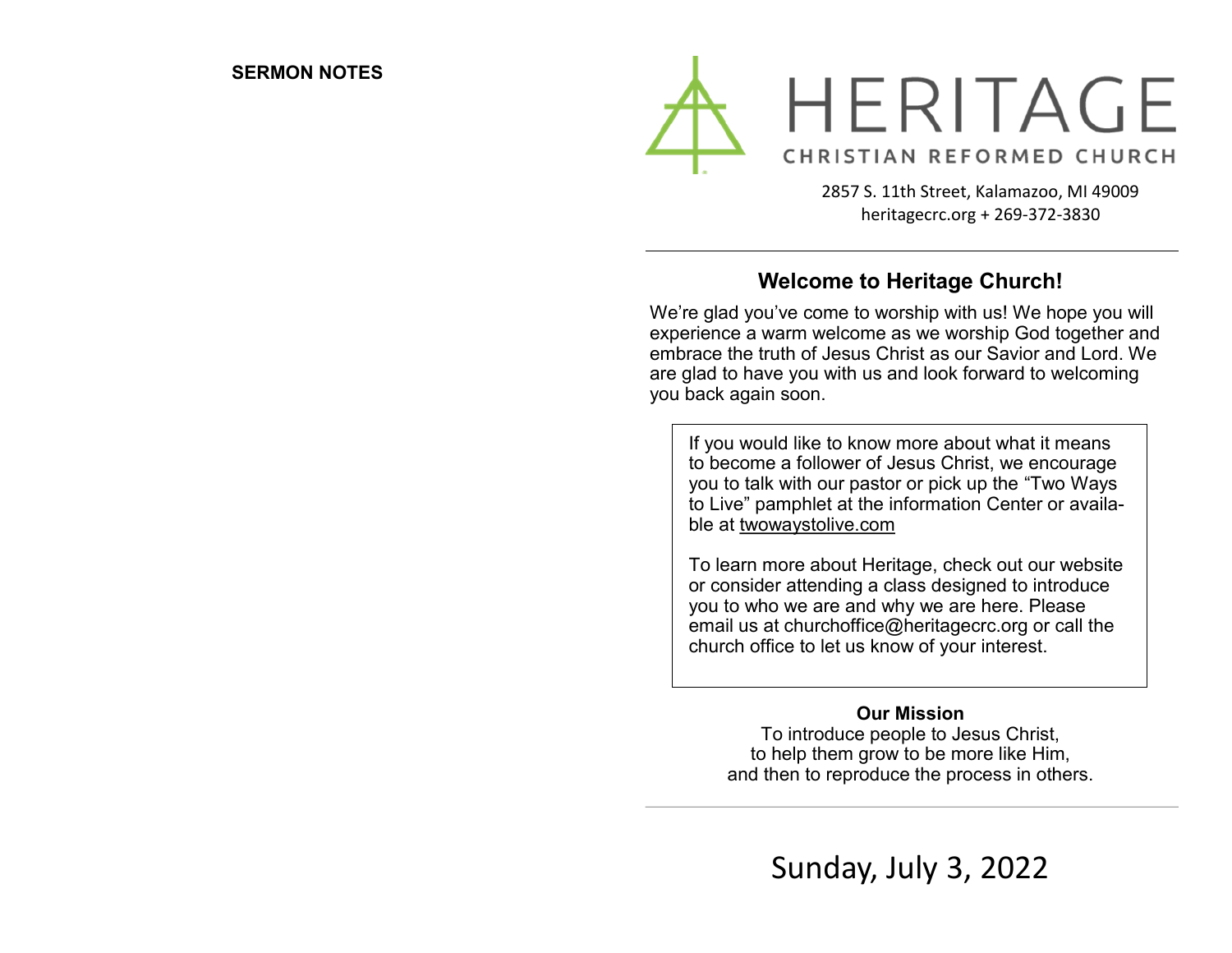

2857 S. 11th Street, Kalamazoo, MI 49009 heritagecrc.org + 269-372-3830

## **Welcome to Heritage Church!**

We're glad you've come to worship with us! We hope you will experience a warm welcome as we worship God together and embrace the truth of Jesus Christ as our Savior and Lord. We are glad to have you with us and look forward to welcoming you back again soon.

If you would like to know more about what it means to become a follower of Jesus Christ, we encourage you to talk with our pastor or pick up the "Two Ways to Live" pamphlet at the information Center or available at twowaystolive.com

To learn more about Heritage, check out our website or consider attending a class designed to introduce you to who we are and why we are here. Please email us at churchoffice@heritagecrc.org or call the church office to let us know of your interest.

### **Our Mission**

To introduce people to Jesus Christ, to help them grow to be more like Him, and then to reproduce the process in others.

Sunday, July 3, 2022